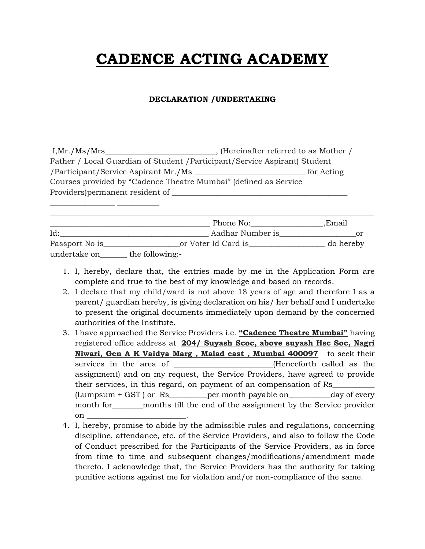## **CADENCE ACTING ACADEMY**

## **DECLARATION /UNDERTAKING**

| I, Mr. / Ms / Mrs                                                          | _, (Hereinafter referred to as Mother / |            |  |
|----------------------------------------------------------------------------|-----------------------------------------|------------|--|
| Father / Local Guardian of Student / Participant/Service Aspirant) Student |                                         |            |  |
| /Participant/Service Aspirant Mr./Ms                                       |                                         | for Acting |  |
| Courses provided by "Cadence Theatre Mumbai" (defined as Service           |                                         |            |  |
| Providers) permanent resident of _                                         |                                         |            |  |
|                                                                            |                                         |            |  |

|                |                 | Phone No:           | Email.    |
|----------------|-----------------|---------------------|-----------|
| Id:            |                 | Aadhar Number is    | or        |
| Passport No is |                 | or Voter Id Card is | do hereby |
| undertake on   | the following:- |                     |           |

- 1. I, hereby, declare that, the entries made by me in the Application Form are complete and true to the best of my knowledge and based on records.
- 2. I declare that my child/ward is not above 18 years of age and therefore I as a parent/ guardian hereby, is giving declaration on his/ her behalf and I undertake to present the original documents immediately upon demand by the concerned authorities of the Institute.
- 3. I have approached the Service Providers i.e. **"Cadence Theatre Mumbai"** having registered office address at **204/ Suyash Scoc, above suyash Hsc Soc, Nagri Niwari, Gen A K Vaidya Marg , Malad east , Mumbai 400097** to seek their services in the area of \_\_\_\_\_\_\_\_\_\_\_\_\_\_\_\_\_\_\_\_\_\_(Henceforth called as the assignment) and on my request, the Service Providers, have agreed to provide their services, in this regard, on payment of an compensation of Rs\_\_\_\_\_\_\_\_\_\_\_ (Lumpsum + GST ) or Rs\_\_\_\_\_\_\_\_\_\_per month payable on\_\_\_\_\_\_\_\_\_\_\_day of every month for months till the end of the assignment by the Service provider on  $\Box$
- 4. I, hereby, promise to abide by the admissible rules and regulations, concerning discipline, attendance, etc. of the Service Providers, and also to follow the Code of Conduct prescribed for the Participants of the Service Providers, as in force from time to time and subsequent changes/modifications/amendment made thereto. I acknowledge that, the Service Providers has the authority for taking punitive actions against me for violation and/or non-compliance of the same.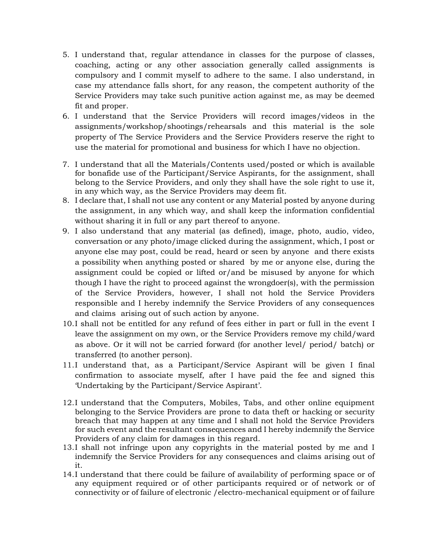- 5. I understand that, regular attendance in classes for the purpose of classes, coaching, acting or any other association generally called assignments is compulsory and I commit myself to adhere to the same. I also understand, in case my attendance falls short, for any reason, the competent authority of the Service Providers may take such punitive action against me, as may be deemed fit and proper.
- 6. I understand that the Service Providers will record images/videos in the assignments/workshop/shootings/rehearsals and this material is the sole property of The Service Providers and the Service Providers reserve the right to use the material for promotional and business for which I have no objection.
- 7. I understand that all the Materials/Contents used/posted or which is available for bonafide use of the Participant/Service Aspirants, for the assignment, shall belong to the Service Providers, and only they shall have the sole right to use it, in any which way, as the Service Providers may deem fit.
- 8. I declare that, I shall not use any content or any Material posted by anyone during the assignment, in any which way, and shall keep the information confidential without sharing it in full or any part thereof to anyone.
- 9. I also understand that any material (as defined), image, photo, audio, video, conversation or any photo/image clicked during the assignment, which, I post or anyone else may post, could be read, heard or seen by anyone and there exists a possibility when anything posted or shared by me or anyone else, during the assignment could be copied or lifted or/and be misused by anyone for which though I have the right to proceed against the wrongdoer(s), with the permission of the Service Providers, however, I shall not hold the Service Providers responsible and I hereby indemnify the Service Providers of any consequences and claims arising out of such action by anyone.
- 10.I shall not be entitled for any refund of fees either in part or full in the event I leave the assignment on my own, or the Service Providers remove my child/ward as above. Or it will not be carried forward (for another level/ period/ batch) or transferred (to another person).
- 11.I understand that, as a Participant/Service Aspirant will be given I final confirmation to associate myself, after I have paid the fee and signed this 'Undertaking by the Participant/Service Aspirant'.
- 12.I understand that the Computers, Mobiles, Tabs, and other online equipment belonging to the Service Providers are prone to data theft or hacking or security breach that may happen at any time and I shall not hold the Service Providers for such event and the resultant consequences and I hereby indemnify the Service Providers of any claim for damages in this regard.
- 13.I shall not infringe upon any copyrights in the material posted by me and I indemnify the Service Providers for any consequences and claims arising out of it.
- 14.I understand that there could be failure of availability of performing space or of any equipment required or of other participants required or of network or of connectivity or of failure of electronic /electro-mechanical equipment or of failure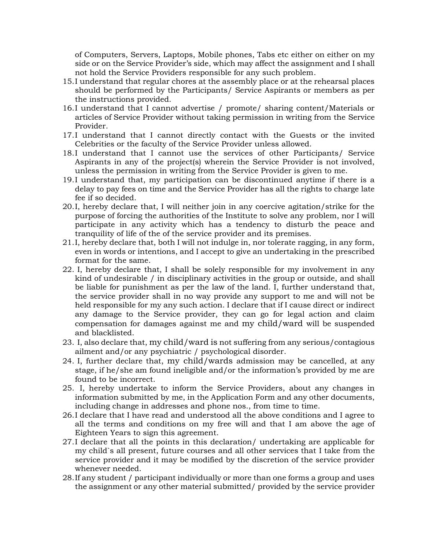of Computers, Servers, Laptops, Mobile phones, Tabs etc either on either on my side or on the Service Provider's side, which may affect the assignment and I shall not hold the Service Providers responsible for any such problem.

- 15.I understand that regular chores at the assembly place or at the rehearsal places should be performed by the Participants/ Service Aspirants or members as per the instructions provided.
- 16.I understand that I cannot advertise / promote/ sharing content/Materials or articles of Service Provider without taking permission in writing from the Service Provider.
- 17.I understand that I cannot directly contact with the Guests or the invited Celebrities or the faculty of the Service Provider unless allowed.
- 18.I understand that I cannot use the services of other Participants/ Service Aspirants in any of the project(s) wherein the Service Provider is not involved, unless the permission in writing from the Service Provider is given to me.
- 19.I understand that, my participation can be discontinued anytime if there is a delay to pay fees on time and the Service Provider has all the rights to charge late fee if so decided.
- 20.I, hereby declare that, I will neither join in any coercive agitation/strike for the purpose of forcing the authorities of the Institute to solve any problem, nor I will participate in any activity which has a tendency to disturb the peace and tranquility of life of the of the service provider and its premises.
- 21.I, hereby declare that, both I will not indulge in, nor tolerate ragging, in any form, even in words or intentions, and I accept to give an undertaking in the prescribed format for the same.
- 22. I, hereby declare that, I shall be solely responsible for my involvement in any kind of undesirable / in disciplinary activities in the group or outside, and shall be liable for punishment as per the law of the land. I, further understand that, the service provider shall in no way provide any support to me and will not be held responsible for my any such action. I declare that if I cause direct or indirect any damage to the Service provider, they can go for legal action and claim compensation for damages against me and my child/ward will be suspended and blacklisted.
- 23. I, also declare that, my child/ward is not suffering from any serious/contagious ailment and/or any psychiatric / psychological disorder.
- 24. I, further declare that, my child/wards admission may be cancelled, at any stage, if he/she am found ineligible and/or the information's provided by me are found to be incorrect.
- 25. I, hereby undertake to inform the Service Providers, about any changes in information submitted by me, in the Application Form and any other documents, including change in addresses and phone nos., from time to time.
- 26.I declare that I have read and understood all the above conditions and I agree to all the terms and conditions on my free will and that I am above the age of Eighteen Years to sign this agreement.
- 27.I declare that all the points in this declaration/ undertaking are applicable for my child`s all present, future courses and all other services that I take from the service provider and it may be modified by the discretion of the service provider whenever needed.
- 28.If any student / participant individually or more than one forms a group and uses the assignment or any other material submitted/ provided by the service provider